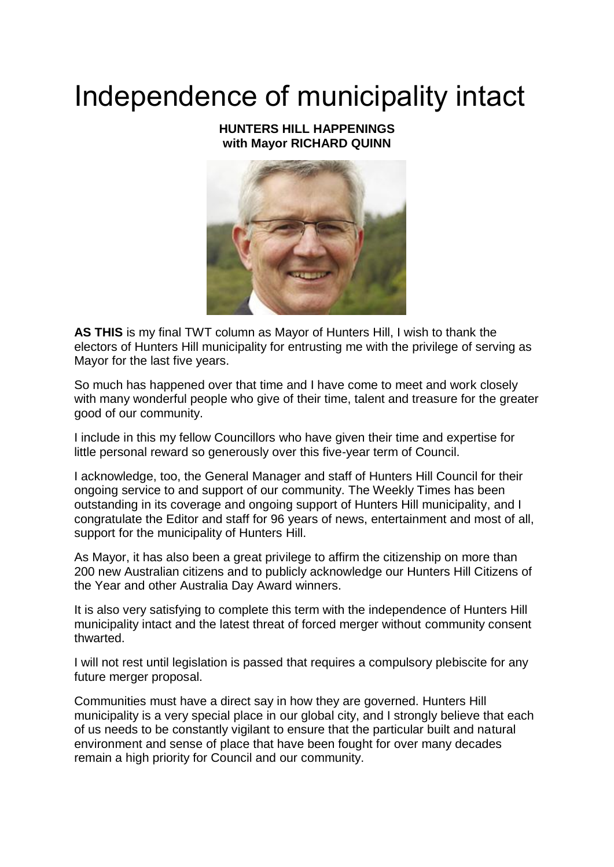## Independence of municipality intact

## **HUNTERS HILL HAPPENINGS with Mayor RICHARD QUINN**



**AS THIS** is my final TWT column as Mayor of Hunters Hill, I wish to thank the electors of Hunters Hill municipality for entrusting me with the privilege of serving as Mayor for the last five years.

So much has happened over that time and I have come to meet and work closely with many wonderful people who give of their time, talent and treasure for the greater good of our community.

I include in this my fellow Councillors who have given their time and expertise for little personal reward so generously over this five-year term of Council.

I acknowledge, too, the General Manager and staff of Hunters Hill Council for their ongoing service to and support of our community. The Weekly Times has been outstanding in its coverage and ongoing support of Hunters Hill municipality, and I congratulate the Editor and staff for 96 years of news, entertainment and most of all, support for the municipality of Hunters Hill.

As Mayor, it has also been a great privilege to affirm the citizenship on more than 200 new Australian citizens and to publicly acknowledge our Hunters Hill Citizens of the Year and other Australia Day Award winners.

It is also very satisfying to complete this term with the independence of Hunters Hill municipality intact and the latest threat of forced merger without community consent thwarted.

I will not rest until legislation is passed that requires a compulsory plebiscite for any future merger proposal.

Communities must have a direct say in how they are governed. Hunters Hill municipality is a very special place in our global city, and I strongly believe that each of us needs to be constantly vigilant to ensure that the particular built and natural environment and sense of place that have been fought for over many decades remain a high priority for Council and our community.